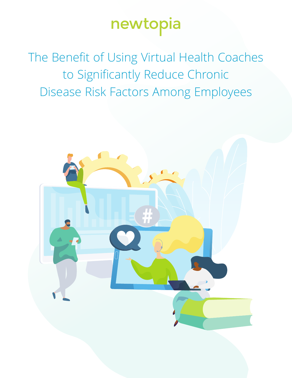# newtopia

The Benefit of Using Virtual Health Coaches to Significantly Reduce Chronic Disease Risk Factors Among Employees

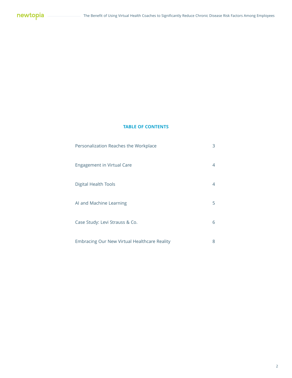#### **TABLE OF CONTENTS**

| Personalization Reaches the Workplace        | 3 |
|----------------------------------------------|---|
| <b>Engagement in Virtual Care</b>            | 4 |
| <b>Digital Health Tools</b>                  | 4 |
| AI and Machine Learning                      | 5 |
| Case Study: Levi Strauss & Co.               | 6 |
| Embracing Our New Virtual Healthcare Reality | 8 |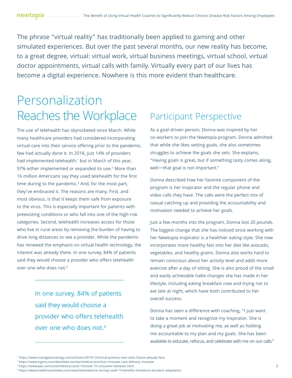The phrase "virtual reality" has traditionally been applied to gaming and other simulated experiences. But over the past several months, our new reality has become, to a great degree, virtual: virtual work, virtual business meetings, virtual school, virtual doctor appointments, virtual calls with family. Virtually every part of our lives has become a digital experience. Nowhere is this more evident than healthcare.

### Personalization Reaches the Workplace

The use of telehealth has skyrocketed since March. While many healthcare providers had considered incorporating virtual care into their service offering prior to the pandemic, few had actually done it. In 2018, just 14% of providers had implemented telehealth,<sup>1</sup> but in March of this year, 97% either implemented or expanded its use.<sup>2</sup> More than 16 million Americans say they used telehealth for the first time during to the pandemic.3 And, for the most part, they've embraced it. The reasons are many. First, and most obvious, is that it keeps them safe from exposure to the virus. This is especially important for patients with preexisting conditions or who fall into one of the high-risk categories. Second, telehealth increases access for those who live in rural areas by removing the burden of having to drive long distances to see a provider. While the pandemic has renewed the emphasis on virtual health technology, the interest was already there. In one survey, 84% of patients said they would choose a provider who offers telehealth over one who does not.4

> In one survey, 84% of patients said they would choose a provider who offers telehealth over one who does not.4

#### Participant Perspective

As a goal-driven person, Donna was inspired by her co-workers to join the Newtopia program. Donna admitted that while she likes setting goals, she also sometimes struggles to achieve the goals she sets. She explains, "Having goals is great, but if something tasty comes along, well—that goal is not important."

Donna described how her favorite component of the program is her Inspirator and the regular phone and video calls they have. The calls were the perfect mix of casual catching up and providing the accountability and motivation needed to achieve her goals.

Just a few months into the program, Donna lost 20 pounds. The biggest change that she has noticed since working with her Newtopia Inspirator is a healthier eating style. She now incorporates more healthy fats into her diet like avocado, vegetables, and healthy grains. Donna also works hard to remain conscious about her activity level and adds more exercise after a day of sitting. She is also proud of the small and easily achievable habit changes she has made in her lifestyle, including eating breakfast now and trying not to eat late at night, which have both contributed to her overall success.

Donna has seen a difference with coaching, "I just want to take a moment and recognize my Inspirator. She is doing a great job at motivating me, as well as holding me accountable to my plan and my goals. She has been available to educate, refocus, and celebrate with me on our calls."

<sup>1</sup> https://www.managedcaremag.com/archives/2019/12/virtual-primary-care-visits-future-already-here

<sup>2</sup> https://www.mgma.com/data/data-stories/medical-practices-innovate-care-delivery,-increase

<sup>3</sup> https://www.pwc.com/us/en/library/covid-19/covid-19-consumer-behavior.html

<sup>4</sup> https://www.healthcareitnews.com/news/telemedicine-during-covid-19-benefits-limitations-burdens-adaptation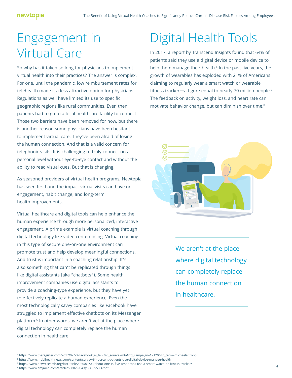### Engagement in Virtual Care

So why has it taken so long for physicians to implement virtual health into their practices? The answer is complex. For one, until the pandemic, low reimbursement rates for telehealth made it a less attractive option for physicians. Regulations as well have limited its use to specific geographic regions like rural communities. Even then, patients had to go to a local healthcare facility to connect. Those two barriers have been removed for now, but there is another reason some physicians have been hesitant to implement virtual care. They've been afraid of losing the human connection. And that is a valid concern for telephonic visits. It is challenging to truly connect on a personal level without eye-to-eye contact and without the ability to read visual cues. But that is changing.

As seasoned providers of virtual health programs, Newtopia has seen firsthand the impact virtual visits can have on engagement, habit change, and long-term health improvements.

Virtual healthcare and digital tools can help enhance the human experience through more personalized, interactive engagement. A prime example is virtual coaching through digital technology like video conferencing. Virtual coaching in this type of secure one-on-one environment can promote trust and help develop meaningful connections. And trust is important in a coaching relationship. It's also something that can't be replicated through things like digital assistants (aka "chatbots"). Some health improvement companies use digital assistants to provide a coaching-type experience, but they have yet to effectively replicate a human experience. Even the most technologically savvy companies like Facebook have struggled to implement effective chatbots on its Messenger platform.5 In other words, we aren't yet at the place where digital technology can completely replace the human connection in healthcare.

## Digital Health Tools

In 2017, a report by Transcend Insights found that 64% of patients said they use a digital device or mobile device to help them manage their health. $^{\rm 6}$  In the past five years, the growth of wearables has exploded with 21% of Americans claiming to regularly wear a smart watch or wearable fitness tracker—a figure equal to nearly 70 million people.7 The feedback on activity, weight loss, and heart rate can motivate behavior change, but can diminish over time.<sup>8</sup>



We aren't at the place where digital technology can completely replace the human connection in healthcare.

<sup>5</sup> https://www.theregister.com/2017/02/22/facebook\_ai\_fail/?zd\_source=mta&zd\_campaign=12120&zd\_term=michaelaffronti

<sup>6</sup> https://www.mobihealthnews.com/content/survey-64-percent-patients-use-digital-device-manage-health

<sup>7</sup> https://www.pewresearch.org/fact-tank/2020/01/09/about-one-in-five-americans-use-a-smart-watch-or-fitness-tracker/

<sup>8</sup> https://www.amjmed.com/article/S0002-9343(19)30553-4/pdf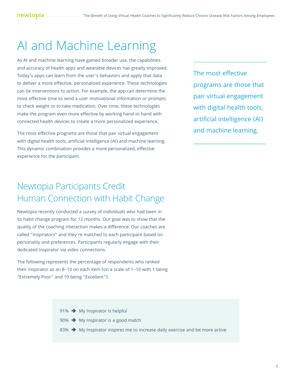## AI and Machine Learning

As AI and machine learning have gained broader use, the capabilities and accuracy of health apps and wearable devices has greatly improved. Today's apps can learn from the user's behaviors and apply that data to deliver a more effective, personalized experience. These technologies can tie interventions to action. For example, the app can determine the most effective time to send a user motivational information or prompts to check weight or to take medication. Over time, these technologies make the program even more effective by working hand-in-hand with connected health devices to create a more personalized experience.

The most effective programs are those that pair virtual engagement with digital health tools, artificial intelligence (AI) and machine learning. This dynamic combination provides a more personalized, effective experience for the participant.

### Newtopia Participants Credit Human Connection with Habit Change

Newtopia recently conducted a survey of individuals who had been in its habit change program for 12 months. Our goal was to show that the quality of the coaching interaction makes a difference. Our coaches are called "Inspirators" and they're matched to each participant based on personality and preferences. Participants regularly engage with their dedicated Inspirator via video connections.

The following represents the percentage of respondents who ranked their Inspirator as an 8–10 on each item (on a scale of 1–10 with 1 being "Extremely Poor" and 10 being "Excellent"):

The most effective programs are those that pair virtual engagement with digital health tools, artificial intelligence (AI) and machine learning.

- 91%  $\rightarrow$  My Inspirator is helpful
- 90%  $\rightarrow$  My Inspirator is a good match
- 83%  $\rightarrow$  My Inspirator inspires me to increase daily exercise and be more active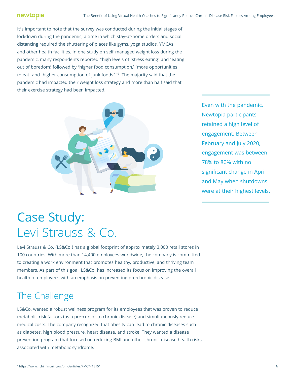It's important to note that the survey was conducted during the initial stages of lockdown during the pandemic, a time in which stay-at-home orders and social distancing required the shuttering of places like gyms, yoga studios, YMCAs and other health facilities. In one study on self-managed weight loss during the pandemic, many respondents reported "high levels of 'stress eating' and 'eating out of boredom', followed by 'higher food consumption,' 'more opportunities to eat', and 'higher consumption of junk foods.'"9 The majority said that the pandemic had impacted their weight loss strategy and more than half said that their exercise strategy had been impacted.



Even with the pandemic, Newtopia participants retained a high level of engagement. Between February and July 2020, engagement was between 78% to 80% with no significant change in April and May when shutdowns were at their highest levels.

### Case Study: Levi Strauss & Co.

Levi Strauss & Co. (LS&Co.) has a global footprint of approximately 3,000 retail stores in 100 countries. With more than 14,400 employees worldwide, the company is committed to creating a work environment that promotes healthy, productive, and thriving team members. As part of this goal, LS&Co. has increased its focus on improving the overall health of employees with an emphasis on preventing pre-chronic disease.

#### The Challenge

LS&Co. wanted a robust wellness program for its employees that was proven to reduce metabolic risk factors (as a pre-cursor to chronic disease) and simultaneously reduce medical costs. The company recognized that obesity can lead to chronic diseases such as diabetes, high blood pressure, heart disease, and stroke. They wanted a disease prevention program that focused on reducing BMI and other chronic disease health risks associated with metabolic syndrome.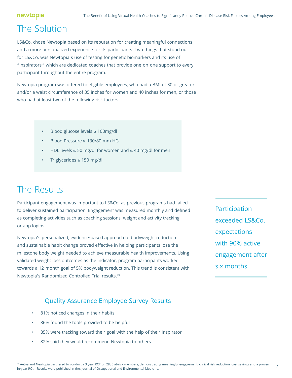### The Solution

LS&Co. chose Newtopia based on its reputation for creating meaningful connections and a more personalized experience for its participants. Two things that stood out for LS&Co. was Newtopia's use of testing for genetic biomarkers and its use of "Inspirators," which are dedicated coaches that provide one-on-one support to every participant throughout the entire program.

Newtopia program was offered to eligible employees, who had a BMI of 30 or greater and/or a waist circumference of 35 inches for women and 40 inches for men, or those who had at least two of the following risk factors:

- Blood glucose levels ≥ 100mg/dl
- Blood Pressure ≥ 130/80 mm HG
- HDL levels  $≤ 50$  mg/dl for women and  $≤ 40$  mg/dl for men
- Triglycerides ≥ 150 mg/dl

#### The Results

Participant engagement was important to LS&Co. as previous programs had failed to deliver sustained participation. Engagement was measured monthly and defined as completing activities such as coaching sessions, weight and activity tracking, or app logins.

Newtopia's personalized, evidence-based approach to bodyweight reduction and sustainable habit change proved effective in helping participants lose the milestone body weight needed to achieve measurable health improvements. Using validated weight loss outcomes as the indicator, program participants worked towards a 12-month goal of 5% bodyweight reduction. This trend is consistent with Newtopia's Randomized Controlled Trial results.10

Participation exceeded LS&Co. expectations with 90% active engagement after six months.

#### Quality Assurance Employee Survey Results

- 81% noticed changes in their habits
- 86% found the tools provided to be helpful
- 85% were tracking toward their goal with the help of their Inspirator
- 82% said they would recommend Newtopia to others